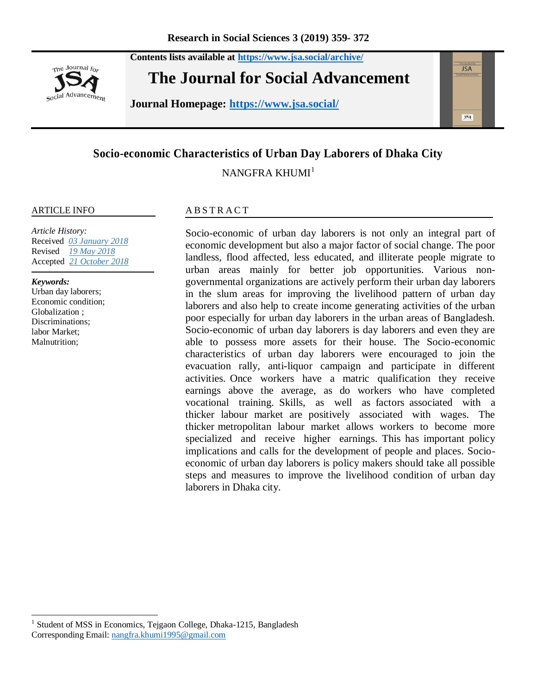

**Contents lists available at <https://www.jsa.social/archive/>**

**The Journal for Social Advancement** 

**Journal Homepage: <https://www.jsa.social/>**



NANGFRA KHUMI $<sup>1</sup>$ </sup>

#### ARTICLE INFO

*Article History:*  Received *03 January 2018* Revised *19 May 2018* Accepted *21 October 2018*

#### *Keywords:*

 $\overline{\phantom{a}}$ 

Urban day laborers; Economic condition; Globalization ; Discriminations; labor Market; Malnutrition;

#### **ABSTRACT**

Socio-economic of urban day laborers is not only an integral part of economic development but also a major factor of social change. The poor landless, flood affected, less educated, and illiterate people migrate to urban areas mainly for better job opportunities. Various nongovernmental organizations are actively perform their urban day laborers in the slum areas for improving the livelihood pattern of urban day laborers and also help to create income generating activities of the urban poor especially for urban day laborers in the urban areas of Bangladesh. Socio-economic of urban day laborers is day laborers and even they are able to possess more assets for their house. The Socio-economic characteristics of urban day laborers were encouraged to join the evacuation rally, anti-liquor campaign and participate in different activities. Once workers have a matric qualification they receive earnings above the average, as do workers who have completed vocational training. Skills, as well as factors associated with a thicker labour market are positively associated with wages. The thicker metropolitan labour market allows workers to become more specialized and receive higher earnings. This has important policy implications and calls for the development of people and places. Socioeconomic of urban day laborers is policy makers should take all possible steps and measures to improve the livelihood condition of urban day laborers in Dhaka city.

**JSA** 

 $354$ 

<sup>&</sup>lt;sup>1</sup> Student of MSS in Economics, Tejgaon College, Dhaka-1215, Bangladesh Corresponding Email: [nangfra.khumi1995@gmail.com](mailto:nangfra.khumi1995@gmail.com)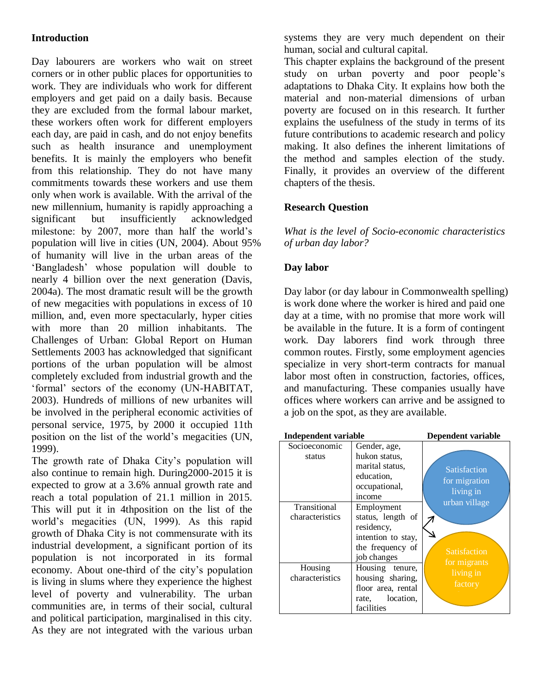## **Introduction**

Day labourers are workers who wait on street corners or in other public places for opportunities to work. They are individuals who work for different employers and get paid on a daily basis. Because they are excluded from the formal labour market, these workers often work for different employers each day, are paid in cash, and do not enjoy benefits such as health insurance and unemployment benefits. It is mainly the employers who benefit from this relationship. They do not have many commitments towards these workers and use them only when work is available. With the arrival of the new millennium, humanity is rapidly approaching a significant but insufficiently acknowledged milestone: by 2007, more than half the world"s population will live in cities (UN, 2004). About 95% of humanity will live in the urban areas of the "Bangladesh" whose population will double to nearly 4 billion over the next generation (Davis, 2004a). The most dramatic result will be the growth of new megacities with populations in excess of 10 million, and, even more spectacularly, hyper cities with more than 20 million inhabitants. The Challenges of Urban: Global Report on Human Settlements 2003 has acknowledged that significant portions of the urban population will be almost completely excluded from industrial growth and the "formal" sectors of the economy (UN-HABITAT, 2003). Hundreds of millions of new urbanites will be involved in the peripheral economic activities of personal service, 1975, by 2000 it occupied 11th position on the list of the world"s megacities (UN, 1999).

The growth rate of Dhaka City's population will also continue to remain high. During2000-2015 it is expected to grow at a 3.6% annual growth rate and reach a total population of 21.1 million in 2015. This will put it in 4thposition on the list of the world"s megacities (UN, 1999). As this rapid growth of Dhaka City is not commensurate with its industrial development, a significant portion of its population is not incorporated in its formal economy. About one-third of the city"s population is living in slums where they experience the highest level of poverty and vulnerability. The urban communities are, in terms of their social, cultural and political participation, marginalised in this city. As they are not integrated with the various urban

systems they are very much dependent on their human, social and cultural capital.

This chapter explains the background of the present study on urban poverty and poor people's adaptations to Dhaka City. It explains how both the material and non-material dimensions of urban poverty are focused on in this research. It further explains the usefulness of the study in terms of its future contributions to academic research and policy making. It also defines the inherent limitations of the method and samples election of the study. Finally, it provides an overview of the different chapters of the thesis.

### **Research Question**

*What is the level of Socio-economic characteristics of urban day labor?*

### **Day labor**

Day labor (or day labour in Commonwealth spelling) is work done where the worker is hired and paid one day at a time, with no promise that more work will be available in the future. It is a form of contingent work. Day laborers find work through three common routes. Firstly, some employment agencies specialize in very short-term contracts for manual labor most often in construction, factories, offices, and manufacturing. These companies usually have offices where workers can arrive and be assigned to a job on the spot, as they are available.

| <b>Independent variable</b> |                    | Dependent variable |
|-----------------------------|--------------------|--------------------|
| Socioeconomic               | Gender, age,       |                    |
| status                      | hukon status,      |                    |
|                             | marital status,    | Satisfaction       |
|                             | education,         | for migration      |
|                             | occupational,      | living in          |
|                             | income             |                    |
| Transitional                | Employment         | urban village      |
| characteristics             | status, length of  |                    |
|                             | residency,         |                    |
|                             | intention to stay, |                    |
|                             | the frequency of   | Satisfaction       |
|                             | job changes        | for migrants       |
| Housing                     | Housing tenure,    |                    |
| characteristics             | housing sharing,   | living in          |
|                             | floor area, rental | factory            |
|                             | rate, location,    |                    |
|                             | facilities         |                    |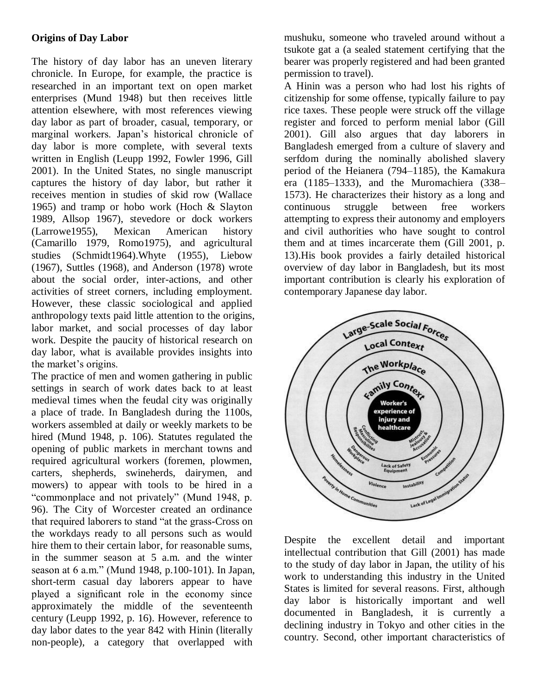## **Origins of Day Labor**

The history of day labor has an uneven literary chronicle. In Europe, for example, the practice is researched in an important text on open market enterprises (Mund 1948) but then receives little attention elsewhere, with most references viewing day labor as part of broader, casual, temporary, or marginal workers. Japan"s historical chronicle of day labor is more complete, with several texts written in English (Leupp 1992, Fowler 1996, Gill 2001). In the United States, no single manuscript captures the history of day labor, but rather it receives mention in studies of skid row (Wallace 1965) and tramp or hobo work (Hoch & Slayton 1989, Allsop 1967), stevedore or dock workers (Larrowe1955), Mexican American history (Camarillo 1979, Romo1975), and agricultural studies (Schmidt1964).Whyte (1955), Liebow (1967), Suttles (1968), and Anderson (1978) wrote about the social order, inter-actions, and other activities of street corners, including employment. However, these classic sociological and applied anthropology texts paid little attention to the origins, labor market, and social processes of day labor work. Despite the paucity of historical research on day labor, what is available provides insights into the market's origins.

The practice of men and women gathering in public settings in search of work dates back to at least medieval times when the feudal city was originally a place of trade. In Bangladesh during the 1100s, workers assembled at daily or weekly markets to be hired (Mund 1948, p. 106). Statutes regulated the opening of public markets in merchant towns and required agricultural workers (foremen, plowmen, carters, shepherds, swineherds, dairymen, and mowers) to appear with tools to be hired in a "commonplace and not privately" (Mund 1948, p. 96). The City of Worcester created an ordinance that required laborers to stand "at the grass-Cross on the workdays ready to all persons such as would hire them to their certain labor, for reasonable sums, in the summer season at 5 a.m. and the winter season at 6 a.m." (Mund 1948, p.100-101). In Japan, short-term casual day laborers appear to have played a significant role in the economy since approximately the middle of the seventeenth century (Leupp 1992, p. 16). However, reference to day labor dates to the year 842 with Hinin (literally non-people), a category that overlapped with

mushuku, someone who traveled around without a tsukote gat a (a sealed statement certifying that the bearer was properly registered and had been granted permission to travel).

A Hinin was a person who had lost his rights of citizenship for some offense, typically failure to pay rice taxes. These people were struck off the village register and forced to perform menial labor (Gill 2001). Gill also argues that day laborers in Bangladesh emerged from a culture of slavery and serfdom during the nominally abolished slavery period of the Heianera (794–1185), the Kamakura era (1185–1333), and the Muromachiera (338– 1573). He characterizes their history as a long and continuous struggle between free workers attempting to express their autonomy and employers and civil authorities who have sought to control them and at times incarcerate them (Gill 2001, p. 13).His book provides a fairly detailed historical overview of day labor in Bangladesh, but its most important contribution is clearly his exploration of contemporary Japanese day labor.



Despite the excellent detail and important intellectual contribution that Gill (2001) has made to the study of day labor in Japan, the utility of his work to understanding this industry in the United States is limited for several reasons. First, although day labor is historically important and well documented in Bangladesh, it is currently a declining industry in Tokyo and other cities in the country. Second, other important characteristics of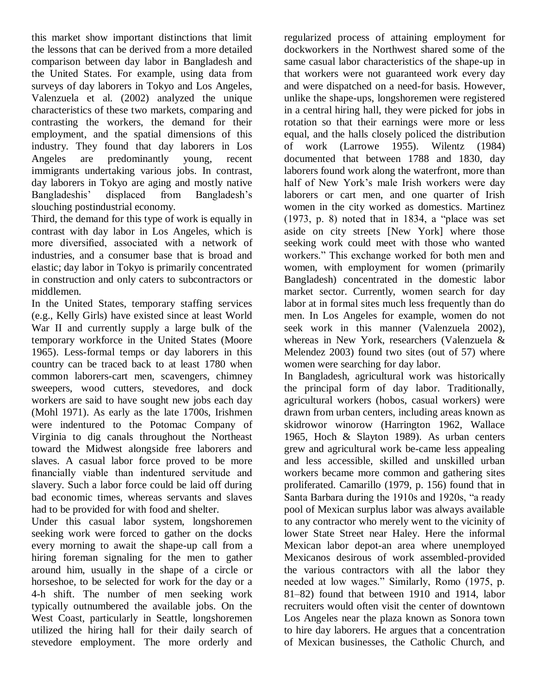this market show important distinctions that limit the lessons that can be derived from a more detailed comparison between day labor in Bangladesh and the United States. For example, using data from surveys of day laborers in Tokyo and Los Angeles, Valenzuela et al. (2002) analyzed the unique characteristics of these two markets, comparing and contrasting the workers, the demand for their employment, and the spatial dimensions of this industry. They found that day laborers in Los Angeles are predominantly young, recent immigrants undertaking various jobs. In contrast, day laborers in Tokyo are aging and mostly native Bangladeshis" displaced from Bangladesh"s slouching postindustrial economy.

Third, the demand for this type of work is equally in contrast with day labor in Los Angeles, which is more diversified, associated with a network of industries, and a consumer base that is broad and elastic; day labor in Tokyo is primarily concentrated in construction and only caters to subcontractors or middlemen.

In the United States, temporary staffing services (e.g., Kelly Girls) have existed since at least World War II and currently supply a large bulk of the temporary workforce in the United States (Moore 1965). Less-formal temps or day laborers in this country can be traced back to at least 1780 when common laborers-cart men, scavengers, chimney sweepers, wood cutters, stevedores, and dock workers are said to have sought new jobs each day (Mohl 1971). As early as the late 1700s, Irishmen were indentured to the Potomac Company of Virginia to dig canals throughout the Northeast toward the Midwest alongside free laborers and slaves. A casual labor force proved to be more financially viable than indentured servitude and slavery. Such a labor force could be laid off during bad economic times, whereas servants and slaves had to be provided for with food and shelter.

Under this casual labor system, longshoremen seeking work were forced to gather on the docks every morning to await the shape-up call from a hiring foreman signaling for the men to gather around him, usually in the shape of a circle or horseshoe, to be selected for work for the day or a 4-h shift. The number of men seeking work typically outnumbered the available jobs. On the West Coast, particularly in Seattle, longshoremen utilized the hiring hall for their daily search of stevedore employment. The more orderly and

regularized process of attaining employment for dockworkers in the Northwest shared some of the same casual labor characteristics of the shape-up in that workers were not guaranteed work every day and were dispatched on a need-for basis. However, unlike the shape-ups, longshoremen were registered in a central hiring hall, they were picked for jobs in rotation so that their earnings were more or less equal, and the halls closely policed the distribution of work (Larrowe 1955). Wilentz (1984) documented that between 1788 and 1830, day laborers found work along the waterfront, more than half of New York's male Irish workers were day laborers or cart men, and one quarter of Irish women in the city worked as domestics. Martinez (1973, p. 8) noted that in 1834, a "place was set aside on city streets [New York] where those seeking work could meet with those who wanted workers." This exchange worked for both men and women, with employment for women (primarily Bangladesh) concentrated in the domestic labor market sector. Currently, women search for day labor at in formal sites much less frequently than do men. In Los Angeles for example, women do not seek work in this manner (Valenzuela 2002), whereas in New York, researchers (Valenzuela & Melendez 2003) found two sites (out of 57) where women were searching for day labor.

In Bangladesh, agricultural work was historically the principal form of day labor. Traditionally, agricultural workers (hobos, casual workers) were drawn from urban centers, including areas known as skidrowor winorow (Harrington 1962, Wallace 1965, Hoch & Slayton 1989). As urban centers grew and agricultural work be-came less appealing and less accessible, skilled and unskilled urban workers became more common and gathering sites proliferated. Camarillo (1979, p. 156) found that in Santa Barbara during the 1910s and 1920s, "a ready pool of Mexican surplus labor was always available to any contractor who merely went to the vicinity of lower State Street near Haley. Here the informal Mexican labor depot-an area where unemployed Mexicanos desirous of work assembled-provided the various contractors with all the labor they needed at low wages." Similarly, Romo (1975, p. 81–82) found that between 1910 and 1914, labor recruiters would often visit the center of downtown Los Angeles near the plaza known as Sonora town to hire day laborers. He argues that a concentration of Mexican businesses, the Catholic Church, and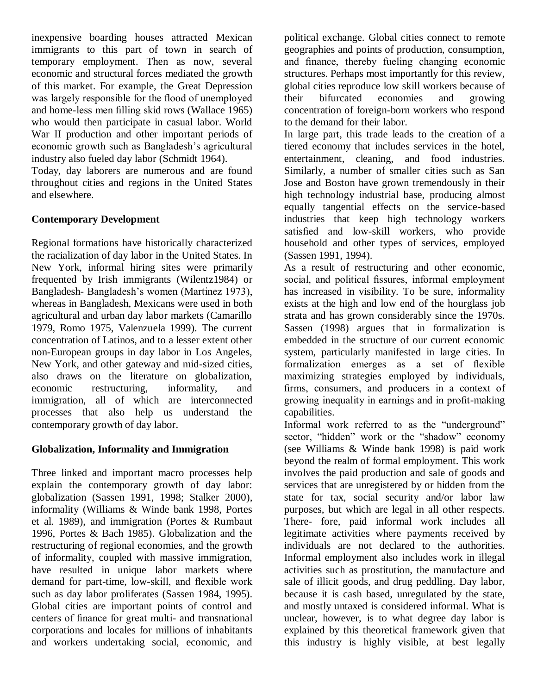inexpensive boarding houses attracted Mexican immigrants to this part of town in search of temporary employment. Then as now, several economic and structural forces mediated the growth of this market. For example, the Great Depression was largely responsible for the flood of unemployed and home-less men filling skid rows (Wallace 1965) who would then participate in casual labor. World War II production and other important periods of economic growth such as Bangladesh"s agricultural industry also fueled day labor (Schmidt 1964).

Today, day laborers are numerous and are found throughout cities and regions in the United States and elsewhere.

### **Contemporary Development**

Regional formations have historically characterized the racialization of day labor in the United States. In New York, informal hiring sites were primarily frequented by Irish immigrants (Wilentz1984) or Bangladesh- Bangladesh"s women (Martinez 1973), whereas in Bangladesh, Mexicans were used in both agricultural and urban day labor markets (Camarillo 1979, Romo 1975, Valenzuela 1999). The current concentration of Latinos, and to a lesser extent other non-European groups in day labor in Los Angeles, New York, and other gateway and mid-sized cities, also draws on the literature on globalization, economic restructuring, informality, and immigration, all of which are interconnected processes that also help us understand the contemporary growth of day labor.

### **Globalization, Informality and Immigration**

Three linked and important macro processes help explain the contemporary growth of day labor: globalization (Sassen 1991, 1998; Stalker 2000), informality (Williams & Winde bank 1998, Portes et al. 1989), and immigration (Portes & Rumbaut 1996, Portes & Bach 1985). Globalization and the restructuring of regional economies, and the growth of informality, coupled with massive immigration, have resulted in unique labor markets where demand for part-time, low-skill, and flexible work such as day labor proliferates (Sassen 1984, 1995). Global cities are important points of control and centers of finance for great multi- and transnational corporations and locales for millions of inhabitants and workers undertaking social, economic, and

political exchange. Global cities connect to remote geographies and points of production, consumption, and finance, thereby fueling changing economic structures. Perhaps most importantly for this review, global cities reproduce low skill workers because of their bifurcated economies and growing concentration of foreign-born workers who respond to the demand for their labor.

In large part, this trade leads to the creation of a tiered economy that includes services in the hotel, entertainment, cleaning, and food industries. Similarly, a number of smaller cities such as San Jose and Boston have grown tremendously in their high technology industrial base, producing almost equally tangential effects on the service-based industries that keep high technology workers satisfied and low-skill workers, who provide household and other types of services, employed (Sassen 1991, 1994).

As a result of restructuring and other economic, social, and political fissures, informal employment has increased in visibility. To be sure, informality exists at the high and low end of the hourglass job strata and has grown considerably since the 1970s. Sassen (1998) argues that in formalization is embedded in the structure of our current economic system, particularly manifested in large cities. In formalization emerges as a set of flexible maximizing strategies employed by individuals, firms, consumers, and producers in a context of growing inequality in earnings and in profit-making capabilities.

Informal work referred to as the "underground" sector, "hidden" work or the "shadow" economy (see Williams & Winde bank 1998) is paid work beyond the realm of formal employment. This work involves the paid production and sale of goods and services that are unregistered by or hidden from the state for tax, social security and/or labor law purposes, but which are legal in all other respects. There- fore, paid informal work includes all legitimate activities where payments received by individuals are not declared to the authorities. Informal employment also includes work in illegal activities such as prostitution, the manufacture and sale of illicit goods, and drug peddling. Day labor, because it is cash based, unregulated by the state, and mostly untaxed is considered informal. What is unclear, however, is to what degree day labor is explained by this theoretical framework given that this industry is highly visible, at best legally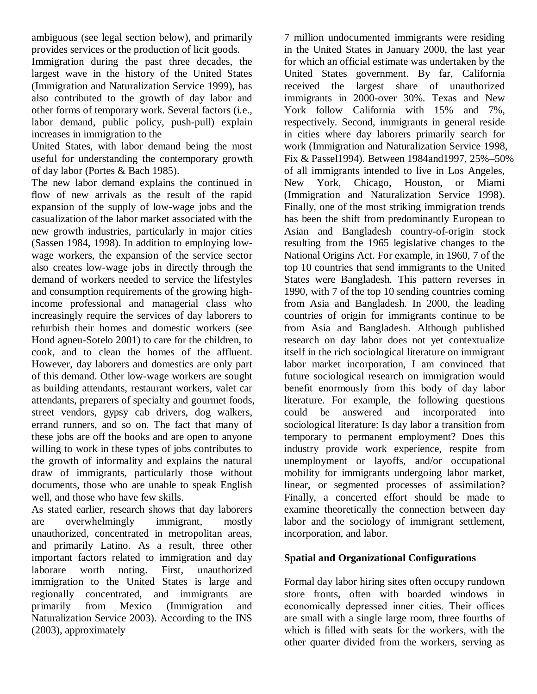ambiguous (see legal section below), and primarily provides services or the production of licit goods.

Immigration during the past three decades, the largest wave in the history of the United States (Immigration and Naturalization Service 1999), has also contributed to the growth of day labor and other forms of temporary work. Several factors (i.e., labor demand, public policy, push-pull) explain increases in immigration to the

United States, with labor demand being the most useful for understanding the contemporary growth of day labor (Portes & Bach 1985).

The new labor demand explains the continued in flow of new arrivals as the result of the rapid expansion of the supply of low-wage jobs and the casualization of the labor market associated with the new growth industries, particularly in major cities (Sassen 1984, 1998). In addition to employing lowwage workers, the expansion of the service sector also creates low-wage jobs in directly through the demand of workers needed to service the lifestyles and consumption requirements of the growing highincome professional and managerial class who increasingly require the services of day laborers to refurbish their homes and domestic workers (see Hond agneu-Sotelo 2001) to care for the children, to cook, and to clean the homes of the affluent. However, day laborers and domestics are only part of this demand. Other low-wage workers are sought as building attendants, restaurant workers, valet car attendants, preparers of specialty and gourmet foods, street vendors, gypsy cab drivers, dog walkers, errand runners, and so on. The fact that many of these jobs are off the books and are open to anyone willing to work in these types of jobs contributes to the growth of informality and explains the natural draw of immigrants, particularly those without documents, those who are unable to speak English well, and those who have few skills.

As stated earlier, research shows that day laborers are overwhelmingly immigrant, mostly unauthorized, concentrated in metropolitan areas, and primarily Latino. As a result, three other important factors related to immigration and day laborare worth noting. First, unauthorized immigration to the United States is large and regionally concentrated, and immigrants are primarily from Mexico (Immigration and Naturalization Service 2003). According to the INS (2003), approximately

7 million undocumented immigrants were residing in the United States in January 2000, the last year for which an official estimate was undertaken by the United States government. By far, California received the largest share of unauthorized immigrants in 2000-over 30%. Texas and New York follow California with 15% and 7%, respectively. Second, immigrants in general reside in cities where day laborers primarily search for work (Immigration and Naturalization Service 1998, Fix & Passel1994). Between 1984and1997, 25%–50% of all immigrants intended to live in Los Angeles, New York, Chicago, Houston, or Miami (Immigration and Naturalization Service 1998). Finally, one of the most striking immigration trends has been the shift from predominantly European to Asian and Bangladesh country-of-origin stock resulting from the 1965 legislative changes to the National Origins Act. For example, in 1960, 7 of the top 10 countries that send immigrants to the United States were Bangladesh. This pattern reverses in 1990, with 7 of the top 10 sending countries coming from Asia and Bangladesh. In 2000, the leading countries of origin for immigrants continue to be from Asia and Bangladesh. Although published research on day labor does not yet contextualize itself in the rich sociological literature on immigrant labor market incorporation, I am convinced that future sociological research on immigration would benefit enormously from this body of day labor literature. For example, the following questions could be answered and incorporated into sociological literature: Is day labor a transition from temporary to permanent employment? Does this industry provide work experience, respite from unemployment or layoffs, and/or occupational mobility for immigrants undergoing labor market, linear, or segmented processes of assimilation? Finally, a concerted effort should be made to examine theoretically the connection between day labor and the sociology of immigrant settlement, incorporation, and labor.

# **Spatial and Organizational Configurations**

Formal day labor hiring sites often occupy rundown store fronts, often with boarded windows in economically depressed inner cities. Their offices are small with a single large room, three fourths of which is filled with seats for the workers, with the other quarter divided from the workers, serving as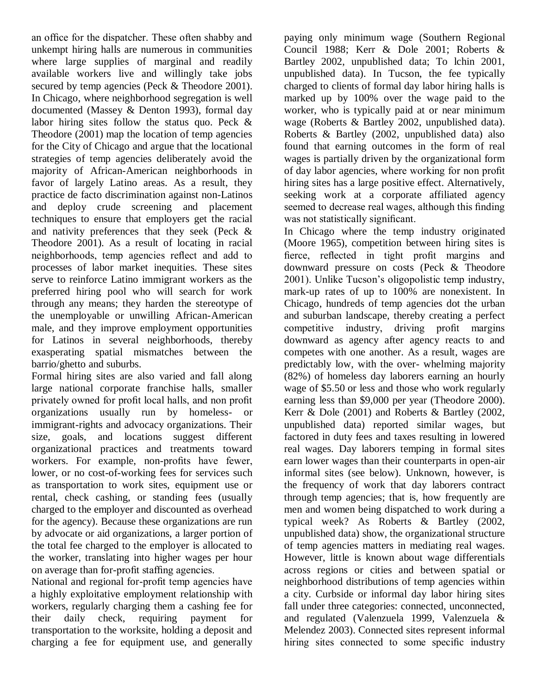an office for the dispatcher. These often shabby and unkempt hiring halls are numerous in communities where large supplies of marginal and readily available workers live and willingly take jobs secured by temp agencies (Peck & Theodore 2001). In Chicago, where neighborhood segregation is well documented (Massey & Denton 1993), formal day labor hiring sites follow the status quo. Peck & Theodore (2001) map the location of temp agencies for the City of Chicago and argue that the locational strategies of temp agencies deliberately avoid the majority of African-American neighborhoods in favor of largely Latino areas. As a result, they practice de facto discrimination against non-Latinos and deploy crude screening and placement techniques to ensure that employers get the racial and nativity preferences that they seek (Peck & Theodore 2001). As a result of locating in racial neighborhoods, temp agencies reflect and add to processes of labor market inequities. These sites serve to reinforce Latino immigrant workers as the preferred hiring pool who will search for work through any means; they harden the stereotype of the unemployable or unwilling African-American male, and they improve employment opportunities for Latinos in several neighborhoods, thereby exasperating spatial mismatches between the barrio/ghetto and suburbs.

Formal hiring sites are also varied and fall along large national corporate franchise halls, smaller privately owned for profit local halls, and non profit organizations usually run by homeless- or immigrant-rights and advocacy organizations. Their size, goals, and locations suggest different organizational practices and treatments toward workers. For example, non-profits have fewer, lower, or no cost-of-working fees for services such as transportation to work sites, equipment use or rental, check cashing, or standing fees (usually charged to the employer and discounted as overhead for the agency). Because these organizations are run by advocate or aid organizations, a larger portion of the total fee charged to the employer is allocated to the worker, translating into higher wages per hour on average than for-profit staffing agencies.

National and regional for-profit temp agencies have a highly exploitative employment relationship with workers, regularly charging them a cashing fee for their daily check, requiring payment for transportation to the worksite, holding a deposit and charging a fee for equipment use, and generally

paying only minimum wage (Southern Regional Council 1988; Kerr & Dole 2001; Roberts & Bartley 2002, unpublished data; To lchin 2001, unpublished data). In Tucson, the fee typically charged to clients of formal day labor hiring halls is marked up by 100% over the wage paid to the worker, who is typically paid at or near minimum wage (Roberts & Bartley 2002, unpublished data). Roberts & Bartley (2002, unpublished data) also found that earning outcomes in the form of real wages is partially driven by the organizational form of day labor agencies, where working for non profit hiring sites has a large positive effect. Alternatively, seeking work at a corporate affiliated agency seemed to decrease real wages, although this finding was not statistically significant.

In Chicago where the temp industry originated (Moore 1965), competition between hiring sites is fierce, reflected in tight profit margins and downward pressure on costs (Peck & Theodore 2001). Unlike Tucson"s oligopolistic temp industry, mark-up rates of up to 100% are nonexistent. In Chicago, hundreds of temp agencies dot the urban and suburban landscape, thereby creating a perfect competitive industry, driving profit margins downward as agency after agency reacts to and competes with one another. As a result, wages are predictably low, with the over- whelming majority (82%) of homeless day laborers earning an hourly wage of \$5.50 or less and those who work regularly earning less than \$9,000 per year (Theodore 2000). Kerr & Dole (2001) and Roberts & Bartley (2002, unpublished data) reported similar wages, but factored in duty fees and taxes resulting in lowered real wages. Day laborers temping in formal sites earn lower wages than their counterparts in open-air informal sites (see below). Unknown, however, is the frequency of work that day laborers contract through temp agencies; that is, how frequently are men and women being dispatched to work during a typical week? As Roberts & Bartley (2002, unpublished data) show, the organizational structure of temp agencies matters in mediating real wages. However, little is known about wage differentials across regions or cities and between spatial or neighborhood distributions of temp agencies within a city. Curbside or informal day labor hiring sites fall under three categories: connected, unconnected, and regulated (Valenzuela 1999, Valenzuela & Melendez 2003). Connected sites represent informal hiring sites connected to some specific industry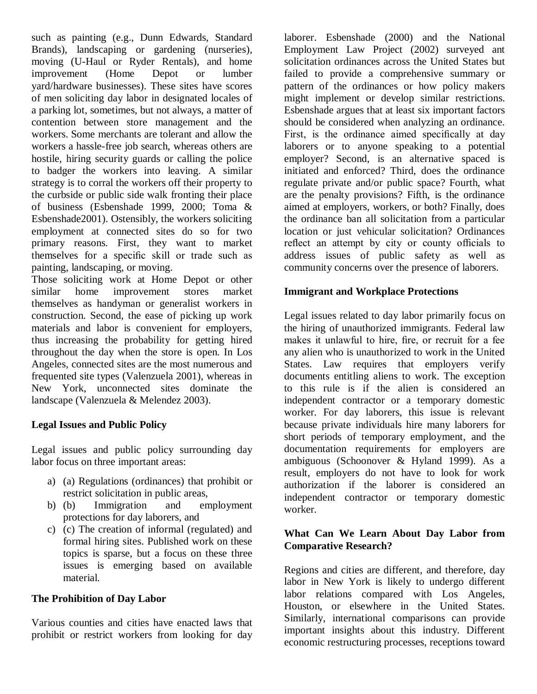such as painting (e.g., Dunn Edwards, Standard Brands), landscaping or gardening (nurseries), moving (U-Haul or Ryder Rentals), and home improvement (Home Depot or lumber yard/hardware businesses). These sites have scores of men soliciting day labor in designated locales of a parking lot, sometimes, but not always, a matter of contention between store management and the workers. Some merchants are tolerant and allow the workers a hassle-free job search, whereas others are hostile, hiring security guards or calling the police to badger the workers into leaving. A similar strategy is to corral the workers off their property to the curbside or public side walk fronting their place of business (Esbenshade 1999, 2000; Toma & Esbenshade2001). Ostensibly, the workers soliciting employment at connected sites do so for two primary reasons. First, they want to market themselves for a specific skill or trade such as painting, landscaping, or moving.

Those soliciting work at Home Depot or other similar home improvement stores market themselves as handyman or generalist workers in construction. Second, the ease of picking up work materials and labor is convenient for employers, thus increasing the probability for getting hired throughout the day when the store is open. In Los Angeles, connected sites are the most numerous and frequented site types (Valenzuela 2001), whereas in New York, unconnected sites dominate the landscape (Valenzuela & Melendez 2003).

### **Legal Issues and Public Policy**

Legal issues and public policy surrounding day labor focus on three important areas:

- a) (a) Regulations (ordinances) that prohibit or restrict solicitation in public areas,
- b) (b) Immigration and employment protections for day laborers, and
- c) (c) The creation of informal (regulated) and formal hiring sites. Published work on these topics is sparse, but a focus on these three issues is emerging based on available material.

### **The Prohibition of Day Labor**

Various counties and cities have enacted laws that prohibit or restrict workers from looking for day laborer. Esbenshade (2000) and the National Employment Law Project (2002) surveyed ant solicitation ordinances across the United States but failed to provide a comprehensive summary or pattern of the ordinances or how policy makers might implement or develop similar restrictions. Esbenshade argues that at least six important factors should be considered when analyzing an ordinance. First, is the ordinance aimed specifically at day laborers or to anyone speaking to a potential employer? Second, is an alternative spaced is initiated and enforced? Third, does the ordinance regulate private and/or public space? Fourth, what are the penalty provisions? Fifth, is the ordinance aimed at employers, workers, or both? Finally, does the ordinance ban all solicitation from a particular location or just vehicular solicitation? Ordinances reflect an attempt by city or county officials to address issues of public safety as well as community concerns over the presence of laborers.

### **Immigrant and Workplace Protections**

Legal issues related to day labor primarily focus on the hiring of unauthorized immigrants. Federal law makes it unlawful to hire, fire, or recruit for a fee any alien who is unauthorized to work in the United States. Law requires that employers verify documents entitling aliens to work. The exception to this rule is if the alien is considered an independent contractor or a temporary domestic worker. For day laborers, this issue is relevant because private individuals hire many laborers for short periods of temporary employment, and the documentation requirements for employers are ambiguous (Schoonover & Hyland 1999). As a result, employers do not have to look for work authorization if the laborer is considered an independent contractor or temporary domestic worker.

### **What Can We Learn About Day Labor from Comparative Research?**

Regions and cities are different, and therefore, day labor in New York is likely to undergo different labor relations compared with Los Angeles, Houston, or elsewhere in the United States. Similarly, international comparisons can provide important insights about this industry. Different economic restructuring processes, receptions toward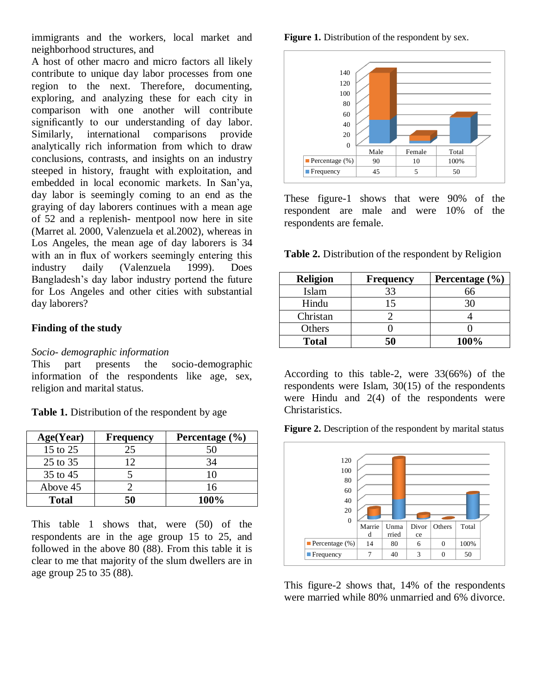immigrants and the workers, local market and neighborhood structures, and

A host of other macro and micro factors all likely contribute to unique day labor processes from one region to the next. Therefore, documenting, exploring, and analyzing these for each city in comparison with one another will contribute significantly to our understanding of day labor. Similarly, international comparisons provide analytically rich information from which to draw conclusions, contrasts, and insights on an industry steeped in history, fraught with exploitation, and embedded in local economic markets. In San"ya, day labor is seemingly coming to an end as the graying of day laborers continues with a mean age of 52 and a replenish- mentpool now here in site (Marret al. 2000, Valenzuela et al.2002), whereas in Los Angeles, the mean age of day laborers is 34 with an in flux of workers seemingly entering this industry daily (Valenzuela 1999). Does Bangladesh"s day labor industry portend the future for Los Angeles and other cities with substantial day laborers?

#### **Finding of the study**

#### *Socio- demographic information*

This part presents the socio-demographic information of the respondents like age, sex, religion and marital status.

**Table 1.** Distribution of the respondent by age

| Age(Year)    | <b>Frequency</b> | Percentage $(\% )$ |
|--------------|------------------|--------------------|
| 15 to 25     | 25               | 50                 |
| 25 to 35     | 12               | 34                 |
| 35 to 45     |                  | 10                 |
| Above 45     |                  | 16                 |
| <b>Total</b> | 50               | 100%               |

This table 1 shows that, were (50) of the respondents are in the age group 15 to 25, and followed in the above 80 (88). From this table it is clear to me that majority of the slum dwellers are in age group 25 to 35 (88).

**Figure 1.** Distribution of the respondent by sex.



These figure-1 shows that were 90% of the respondent are male and were 10% of the respondents are female.

**Table 2.** Distribution of the respondent by Religion

| <b>Religion</b> | <b>Frequency</b> | Percentage (%) |
|-----------------|------------------|----------------|
| Islam           | 33               | 66             |
| Hindu           | 15               |                |
| Christan        |                  |                |
| Others          |                  |                |
| <b>Total</b>    |                  | 100%           |

According to this table-2, were 33(66%) of the respondents were Islam, 30(15) of the respondents were Hindu and 2(4) of the respondents were Christaristics.

**Figure 2.** Description of the respondent by marital status



This figure-2 shows that, 14% of the respondents were married while 80% unmarried and 6% divorce.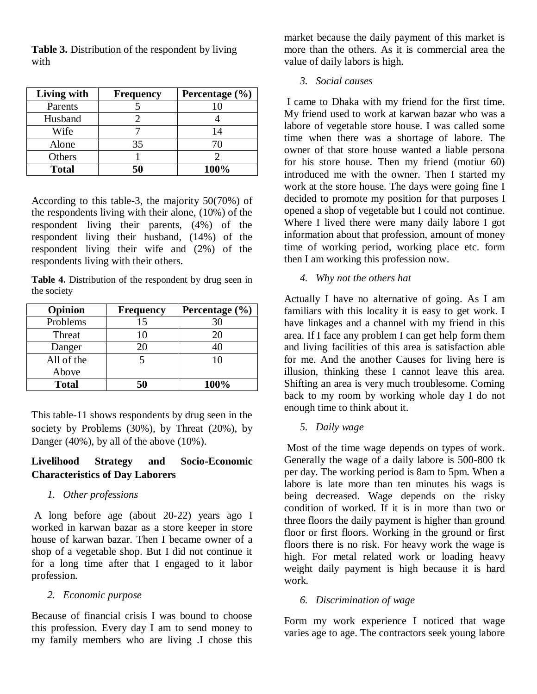| Living with  | Frequency | Percentage (%) |
|--------------|-----------|----------------|
| Parents      |           |                |
| Husband      |           |                |
| Wife         |           | 14             |
| Alone        | 35        | 70             |
| Others       |           |                |
| <b>Total</b> | 50        | 100%           |

**Table 3.** Distribution of the respondent by living with

According to this table-3, the majority 50(70%) of the respondents living with their alone, (10%) of the respondent living their parents, (4%) of the respondent living their husband, (14%) of the respondent living their wife and (2%) of the respondents living with their others.

**Table 4.** Distribution of the respondent by drug seen in the society

| Opinion      | <b>Frequency</b> | Percentage (%) |
|--------------|------------------|----------------|
| Problems     | 15               | 30             |
| Threat       | 10               | 20             |
| Danger       | 20               | 40             |
| All of the   |                  | 10             |
| Above        |                  |                |
| <b>Total</b> | 50               | 100%           |

This table-11 shows respondents by drug seen in the society by Problems (30%), by Threat (20%), by Danger (40%), by all of the above (10%).

### **Livelihood Strategy and Socio-Economic Characteristics of Day Laborers**

# *1. Other professions*

A long before age (about 20-22) years ago I worked in karwan bazar as a store keeper in store house of karwan bazar. Then I became owner of a shop of a vegetable shop. But I did not continue it for a long time after that I engaged to it labor profession.

# *2. Economic purpose*

Because of financial crisis I was bound to choose this profession. Every day I am to send money to my family members who are living .I chose this

market because the daily payment of this market is more than the others. As it is commercial area the value of daily labors is high.

## *3. Social causes*

I came to Dhaka with my friend for the first time. My friend used to work at karwan bazar who was a labore of vegetable store house. I was called some time when there was a shortage of labore. The owner of that store house wanted a liable persona for his store house. Then my friend (motiur 60) introduced me with the owner. Then I started my work at the store house. The days were going fine I decided to promote my position for that purposes I opened a shop of vegetable but I could not continue. Where I lived there were many daily labore I got information about that profession, amount of money time of working period, working place etc. form then I am working this profession now.

# *4. Why not the others hat*

Actually I have no alternative of going. As I am familiars with this locality it is easy to get work. I have linkages and a channel with my friend in this area. If I face any problem I can get help form them and living facilities of this area is satisfaction able for me. And the another Causes for living here is illusion, thinking these I cannot leave this area. Shifting an area is very much troublesome. Coming back to my room by working whole day I do not enough time to think about it.

*5. Daily wage*

Most of the time wage depends on types of work. Generally the wage of a daily labore is 500-800 tk per day. The working period is 8am to 5pm. When a labore is late more than ten minutes his wags is being decreased. Wage depends on the risky condition of worked. If it is in more than two or three floors the daily payment is higher than ground floor or first floors. Working in the ground or first floors there is no risk. For heavy work the wage is high. For metal related work or loading heavy weight daily payment is high because it is hard work.

# *6. Discrimination of wage*

Form my work experience I noticed that wage varies age to age. The contractors seek young labore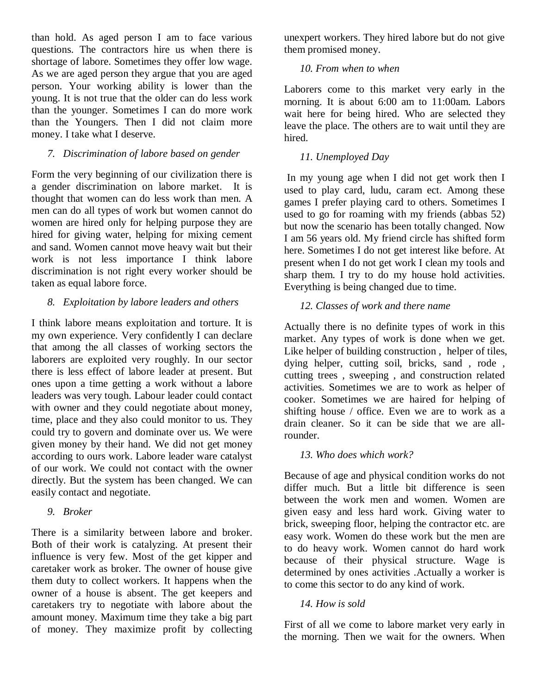than hold. As aged person I am to face various questions. The contractors hire us when there is shortage of labore. Sometimes they offer low wage. As we are aged person they argue that you are aged person. Your working ability is lower than the young. It is not true that the older can do less work than the younger. Sometimes I can do more work than the Youngers. Then I did not claim more money. I take what I deserve.

### *7. Discrimination of labore based on gender*

Form the very beginning of our civilization there is a gender discrimination on labore market. It is thought that women can do less work than men. A men can do all types of work but women cannot do women are hired only for helping purpose they are hired for giving water, helping for mixing cement and sand. Women cannot move heavy wait but their work is not less importance I think labore discrimination is not right every worker should be taken as equal labore force.

## *8. Exploitation by labore leaders and others*

I think labore means exploitation and torture. It is my own experience. Very confidently I can declare that among the all classes of working sectors the laborers are exploited very roughly. In our sector there is less effect of labore leader at present. But ones upon a time getting a work without a labore leaders was very tough. Labour leader could contact with owner and they could negotiate about money, time, place and they also could monitor to us. They could try to govern and dominate over us. We were given money by their hand. We did not get money according to ours work. Labore leader ware catalyst of our work. We could not contact with the owner directly. But the system has been changed. We can easily contact and negotiate.

### *9. Broker*

There is a similarity between labore and broker. Both of their work is catalyzing. At present their influence is very few. Most of the get kipper and caretaker work as broker. The owner of house give them duty to collect workers. It happens when the owner of a house is absent. The get keepers and caretakers try to negotiate with labore about the amount money. Maximum time they take a big part of money. They maximize profit by collecting unexpert workers. They hired labore but do not give them promised money.

## *10. From when to when*

Laborers come to this market very early in the morning. It is about 6:00 am to 11:00am. Labors wait here for being hired. Who are selected they leave the place. The others are to wait until they are hired.

# *11. Unemployed Day*

In my young age when I did not get work then I used to play card, ludu, caram ect. Among these games I prefer playing card to others. Sometimes I used to go for roaming with my friends (abbas 52) but now the scenario has been totally changed. Now I am 56 years old. My friend circle has shifted form here. Sometimes I do not get interest like before. At present when I do not get work I clean my tools and sharp them. I try to do my house hold activities. Everything is being changed due to time.

# *12. Classes of work and there name*

Actually there is no definite types of work in this market. Any types of work is done when we get. Like helper of building construction , helper of tiles, dying helper, cutting soil, bricks, sand , rode , cutting trees , sweeping , and construction related activities. Sometimes we are to work as helper of cooker. Sometimes we are haired for helping of shifting house / office. Even we are to work as a drain cleaner. So it can be side that we are allrounder.

# *13. Who does which work?*

Because of age and physical condition works do not differ much. But a little bit difference is seen between the work men and women. Women are given easy and less hard work. Giving water to brick, sweeping floor, helping the contractor etc. are easy work. Women do these work but the men are to do heavy work. Women cannot do hard work because of their physical structure. Wage is determined by ones activities .Actually a worker is to come this sector to do any kind of work.

# *14. How is sold*

First of all we come to labore market very early in the morning. Then we wait for the owners. When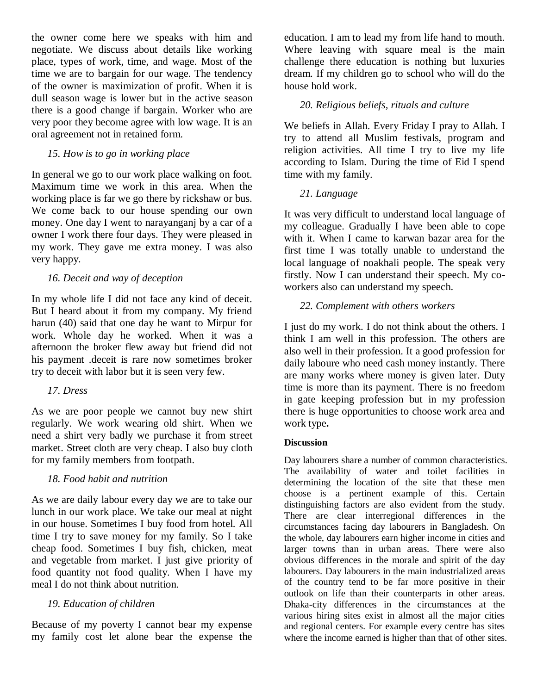the owner come here we speaks with him and negotiate. We discuss about details like working place, types of work, time, and wage. Most of the time we are to bargain for our wage. The tendency of the owner is maximization of profit. When it is dull season wage is lower but in the active season there is a good change if bargain. Worker who are very poor they become agree with low wage. It is an oral agreement not in retained form.

#### *15. How is to go in working place*

In general we go to our work place walking on foot. Maximum time we work in this area. When the working place is far we go there by rickshaw or bus. We come back to our house spending our own money. One day I went to narayanganj by a car of a owner I work there four days. They were pleased in my work. They gave me extra money. I was also very happy.

#### *16. Deceit and way of deception*

In my whole life I did not face any kind of deceit. But I heard about it from my company. My friend harun (40) said that one day he want to Mirpur for work. Whole day he worked. When it was a afternoon the broker flew away but friend did not his payment .deceit is rare now sometimes broker try to deceit with labor but it is seen very few.

#### *17. Dress*

As we are poor people we cannot buy new shirt regularly. We work wearing old shirt. When we need a shirt very badly we purchase it from street market. Street cloth are very cheap. I also buy cloth for my family members from footpath.

### *18. Food habit and nutrition*

As we are daily labour every day we are to take our lunch in our work place. We take our meal at night in our house. Sometimes I buy food from hotel. All time I try to save money for my family. So I take cheap food. Sometimes I buy fish, chicken, meat and vegetable from market. I just give priority of food quantity not food quality. When I have my meal I do not think about nutrition.

### *19. Education of children*

Because of my poverty I cannot bear my expense my family cost let alone bear the expense the education. I am to lead my from life hand to mouth. Where leaving with square meal is the main challenge there education is nothing but luxuries dream. If my children go to school who will do the house hold work.

#### *20. Religious beliefs, rituals and culture*

We beliefs in Allah. Every Friday I pray to Allah. I try to attend all Muslim festivals, program and religion activities. All time I try to live my life according to Islam. During the time of Eid I spend time with my family.

### *21. Language*

It was very difficult to understand local language of my colleague. Gradually I have been able to cope with it. When I came to karwan bazar area for the first time I was totally unable to understand the local language of noakhali people. The speak very firstly. Now I can understand their speech. My coworkers also can understand my speech.

#### *22. Complement with others workers*

I just do my work. I do not think about the others. I think I am well in this profession. The others are also well in their profession. It a good profession for daily laboure who need cash money instantly. There are many works where money is given later. Duty time is more than its payment. There is no freedom in gate keeping profession but in my profession there is huge opportunities to choose work area and work type**.** 

#### **Discussion**

Day labourers share a number of common characteristics. The availability of water and toilet facilities in determining the location of the site that these men choose is a pertinent example of this. Certain distinguishing factors are also evident from the study. There are clear interregional differences in the circumstances facing day labourers in Bangladesh. On the whole, day labourers earn higher income in cities and larger towns than in urban areas. There were also obvious differences in the morale and spirit of the day labourers. Day labourers in the main industrialized areas of the country tend to be far more positive in their outlook on life than their counterparts in other areas. Dhaka-city differences in the circumstances at the various hiring sites exist in almost all the major cities and regional centers. For example every centre has sites where the income earned is higher than that of other sites.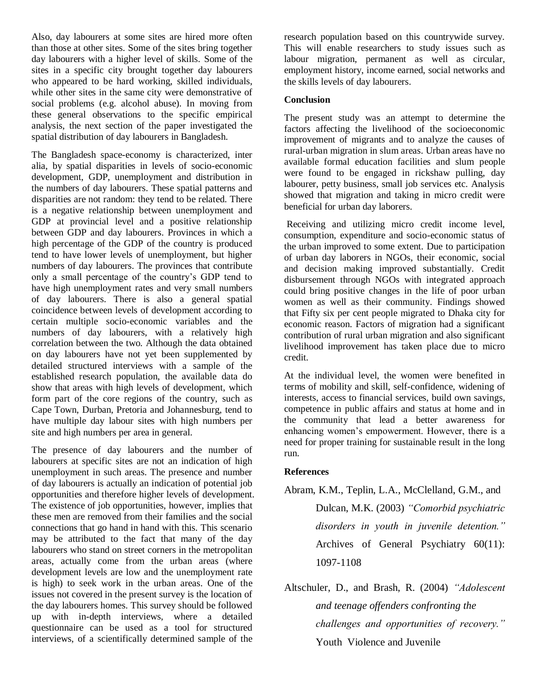Also, day labourers at some sites are hired more often than those at other sites. Some of the sites bring together day labourers with a higher level of skills. Some of the sites in a specific city brought together day labourers who appeared to be hard working, skilled individuals, while other sites in the same city were demonstrative of social problems (e.g. alcohol abuse). In moving from these general observations to the specific empirical analysis, the next section of the paper investigated the spatial distribution of day labourers in Bangladesh.

The Bangladesh space-economy is characterized, inter alia, by spatial disparities in levels of socio-economic development, GDP, unemployment and distribution in the numbers of day labourers. These spatial patterns and disparities are not random: they tend to be related. There is a negative relationship between unemployment and GDP at provincial level and a positive relationship between GDP and day labourers. Provinces in which a high percentage of the GDP of the country is produced tend to have lower levels of unemployment, but higher numbers of day labourers. The provinces that contribute only a small percentage of the country"s GDP tend to have high unemployment rates and very small numbers of day labourers. There is also a general spatial coincidence between levels of development according to certain multiple socio-economic variables and the numbers of day labourers, with a relatively high correlation between the two. Although the data obtained on day labourers have not yet been supplemented by detailed structured interviews with a sample of the established research population, the available data do show that areas with high levels of development, which form part of the core regions of the country, such as Cape Town, Durban, Pretoria and Johannesburg, tend to have multiple day labour sites with high numbers per site and high numbers per area in general.

The presence of day labourers and the number of labourers at specific sites are not an indication of high unemployment in such areas. The presence and number of day labourers is actually an indication of potential job opportunities and therefore higher levels of development. The existence of job opportunities, however, implies that these men are removed from their families and the social connections that go hand in hand with this. This scenario may be attributed to the fact that many of the day labourers who stand on street corners in the metropolitan areas, actually come from the urban areas (where development levels are low and the unemployment rate is high) to seek work in the urban areas. One of the issues not covered in the present survey is the location of the day labourers homes. This survey should be followed up with in-depth interviews, where a detailed questionnaire can be used as a tool for structured interviews, of a scientifically determined sample of the research population based on this countrywide survey. This will enable researchers to study issues such as labour migration, permanent as well as circular, employment history, income earned, social networks and the skills levels of day labourers.

#### **Conclusion**

The present study was an attempt to determine the factors affecting the livelihood of the socioeconomic improvement of migrants and to analyze the causes of rural-urban migration in slum areas. Urban areas have no available formal education facilities and slum people were found to be engaged in rickshaw pulling, day labourer, petty business, small job services etc. Analysis showed that migration and taking in micro credit were beneficial for urban day laborers.

Receiving and utilizing micro credit income level, consumption, expenditure and socio-economic status of the urban improved to some extent. Due to participation of urban day laborers in NGOs, their economic, social and decision making improved substantially. Credit disbursement through NGOs with integrated approach could bring positive changes in the life of poor urban women as well as their community. Findings showed that Fifty six per cent people migrated to Dhaka city for economic reason. Factors of migration had a significant contribution of rural urban migration and also significant livelihood improvement has taken place due to micro credit.

At the individual level, the women were benefited in terms of mobility and skill, self-confidence, widening of interests, access to financial services, build own savings, competence in public affairs and status at home and in the community that lead a better awareness for enhancing women"s empowerment. However, there is a need for proper training for sustainable result in the long run.

#### **References**

- Abram, K.M., Teplin, L.A., McClelland, G.M., and Dulcan, M.K. (2003) *"Comorbid psychiatric disorders in youth in juvenile detention."* Archives of General Psychiatry 60(11): 1097-1108
- Altschuler, D., and Brash, R. (2004) *"Adolescent and teenage offenders confronting the challenges and opportunities of recovery."* Youth Violence and Juvenile